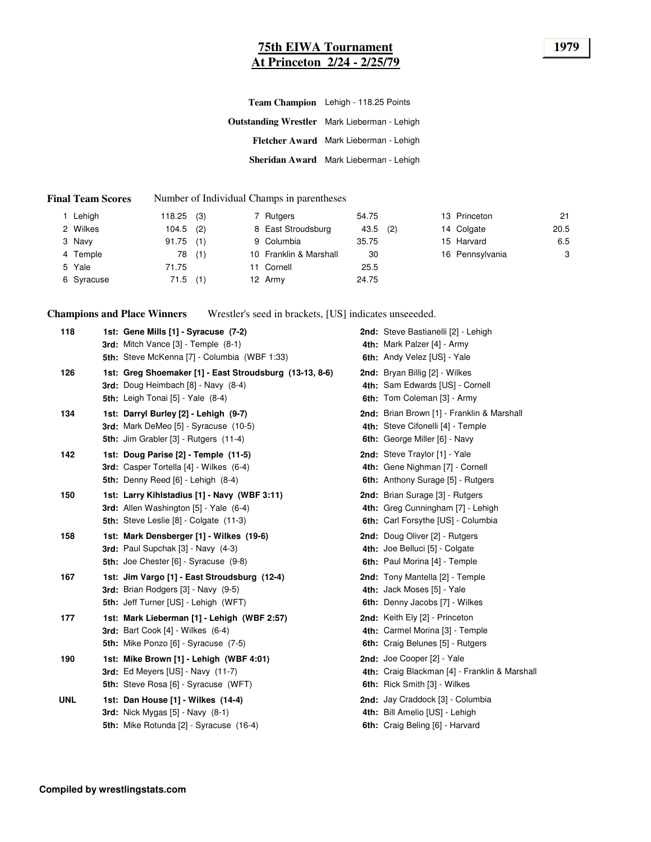### **75th EIWA Tournament 1979 At Princeton 2/24 - 2/25/79**

| Team Champion Lehigh - 118.25 Points                |  |  |  |  |
|-----------------------------------------------------|--|--|--|--|
| <b>Outstanding Wrestler</b> Mark Lieberman - Lehigh |  |  |  |  |
| Fletcher Award Mark Lieberman - Lehigh              |  |  |  |  |
| Sheridan Award Mark Lieberman - Lehigh              |  |  |  |  |

#### **Final Team Scores** Number of Individual Champs in parentheses

| Lehigh     | $118.25$ (3) |     | 7 Rutgers              | 54.75 |     | 13 Princeton    | 21   |
|------------|--------------|-----|------------------------|-------|-----|-----------------|------|
| 2 Wilkes   | $104.5$ (2)  |     | 8 East Stroudsburg     | 43.5  | (2) | 14 Colgate      | 20.5 |
| 3 Navy     | 91.75        | (1) | 9 Columbia             | 35.75 |     | 15 Harvard      | 6.5  |
| 4 Temple   | 78           | (1) | 10 Franklin & Marshall | 30    |     | 16 Pennsylvania | 3    |
| 5 Yale     | 71.75        |     | 11 Cornell             | 25.5  |     |                 |      |
| 6 Syracuse | $71.5$ (1)   |     | 12 Army                | 24.75 |     |                 |      |

**Champions and Place Winners** Wrestler's seed in brackets, [US] indicates unseeeded.

| 118        | 1st: Gene Mills [1] - Syracuse (7-2)<br><b>3rd:</b> Mitch Vance $[3]$ - Temple $(8-1)$<br><b>5th:</b> Steve McKenna [7] - Columbia (WBF 1:33) | 2nd: Steve Bastianelli [2] - Lehigh<br>4th: Mark Palzer [4] - Army<br>6th: Andy Velez [US] - Yale                |
|------------|-----------------------------------------------------------------------------------------------------------------------------------------------|------------------------------------------------------------------------------------------------------------------|
| 126        | 1st: Greg Shoemaker [1] - East Stroudsburg (13-13, 8-6)<br>3rd: Doug Heimbach [8] - Navy (8-4)<br><b>5th:</b> Leigh Tonai [5] - Yale (8-4)    | 2nd: Bryan Billig [2] - Wilkes<br>4th: Sam Edwards [US] - Cornell<br>6th: Tom Coleman [3] - Army                 |
| 134        | 1st: Darryl Burley [2] - Lehigh (9-7)<br>3rd: Mark DeMeo [5] - Syracuse (10-5)<br>5th: Jim Grabler [3] - Rutgers (11-4)                       | 2nd: Brian Brown [1] - Franklin & Marshall<br>4th: Steve Cifonelli [4] - Temple<br>6th: George Miller [6] - Navy |
| 142        | 1st: Doug Parise [2] - Temple (11-5)<br>3rd: Casper Tortella [4] - Wilkes (6-4)<br>5th: Denny Reed [6] - Lehigh (8-4)                         | 2nd: Steve Traylor [1] - Yale<br>4th: Gene Nighman [7] - Cornell<br>6th: Anthony Surage [5] - Rutgers            |
| 150        | 1st: Larry Kihlstadius [1] - Navy (WBF 3:11)<br>3rd: Allen Washington [5] - Yale (6-4)<br><b>5th:</b> Steve Leslie [8] - Colgate (11-3)       | 2nd: Brian Surage [3] - Rutgers<br>4th: Greg Cunningham [7] - Lehigh<br>6th: Carl Forsythe [US] - Columbia       |
| 158        | 1st: Mark Densberger [1] - Wilkes (19-6)<br><b>3rd:</b> Paul Supchak $[3]$ - Navy $(4-3)$<br><b>5th:</b> Joe Chester [6] - Syracuse (9-8)     | 2nd: Doug Oliver [2] - Rutgers<br>4th: Joe Belluci [5] - Colgate<br>6th: Paul Morina [4] - Temple                |
| 167        | 1st: Jim Vargo [1] - East Stroudsburg (12-4)<br>3rd: Brian Rodgers [3] - Navy (9-5)<br>5th: Jeff Turner [US] - Lehigh (WFT)                   | 2nd: Tony Mantella [2] - Temple<br>4th: Jack Moses [5] - Yale<br>6th: Denny Jacobs [7] - Wilkes                  |
| 177        | 1st: Mark Lieberman [1] - Lehigh (WBF 2:57)<br>3rd: Bart Cook $[4]$ - Wilkes $(6-4)$<br>5th: Mike Ponzo [6] - Syracuse (7-5)                  | 2nd: Keith Ely [2] - Princeton<br>4th: Carmel Morina [3] - Temple<br>6th: Craig Belunes [5] - Rutgers            |
| 190        | 1st: Mike Brown [1] - Lehigh (WBF 4:01)<br>3rd: Ed Meyers [US] - Navy (11-7)<br>5th: Steve Rosa [6] - Syracuse (WFT)                          | 2nd: Joe Cooper [2] - Yale<br>4th: Craig Blackman [4] - Franklin & Marshall<br>6th: Rick Smith [3] - Wilkes      |
| <b>UNL</b> | 1st: Dan House [1] - Wilkes (14-4)<br>3rd: Nick Mygas $[5]$ - Navy $(8-1)$<br>5th: Mike Rotunda [2] - Syracuse (16-4)                         | 2nd: Jay Craddock [3] - Columbia<br>4th: Bill Amelio [US] - Lehigh<br>6th: Craig Beling [6] - Harvard            |
|            |                                                                                                                                               |                                                                                                                  |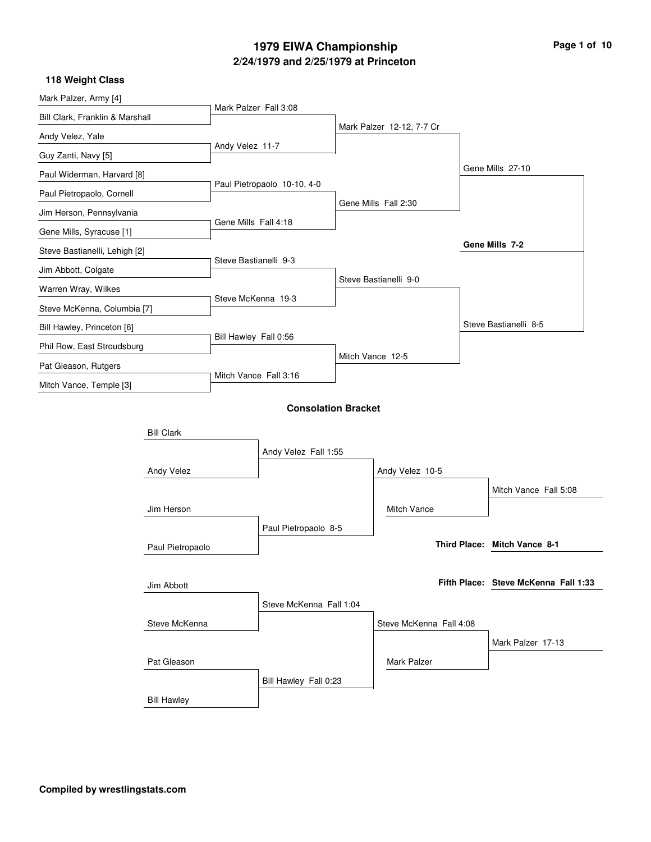| Mark Palzer, Army [4]           |                    |                       |                             |                           |                                      |
|---------------------------------|--------------------|-----------------------|-----------------------------|---------------------------|--------------------------------------|
| Bill Clark, Franklin & Marshall |                    | Mark Palzer Fall 3:08 |                             |                           |                                      |
| Andy Velez, Yale                |                    |                       |                             | Mark Palzer 12-12, 7-7 Cr |                                      |
| Guy Zanti, Navy [5]             |                    | Andy Velez 11-7       |                             |                           |                                      |
| Paul Widerman, Harvard [8]      |                    |                       |                             |                           | Gene Mills 27-10                     |
| Paul Pietropaolo, Cornell       |                    |                       | Paul Pietropaolo 10-10, 4-0 |                           |                                      |
| Jim Herson, Pennsylvania        |                    |                       |                             | Gene Mills Fall 2:30      |                                      |
| Gene Mills, Syracuse [1]        |                    | Gene Mills Fall 4:18  |                             |                           |                                      |
| Steve Bastianelli, Lehigh [2]   |                    |                       |                             |                           | Gene Mills 7-2                       |
| Jim Abbott, Colgate             |                    | Steve Bastianelli 9-3 |                             |                           |                                      |
| Warren Wray, Wilkes             |                    |                       |                             | Steve Bastianelli 9-0     |                                      |
| Steve McKenna, Columbia [7]     |                    | Steve McKenna 19-3    |                             |                           |                                      |
| Bill Hawley, Princeton [6]      |                    |                       |                             |                           | Steve Bastianelli 8-5                |
| Phil Row, East Stroudsburg      |                    | Bill Hawley Fall 0:56 |                             |                           |                                      |
| Pat Gleason, Rutgers            |                    |                       |                             | Mitch Vance 12-5          |                                      |
| Mitch Vance, Temple [3]         |                    | Mitch Vance Fall 3:16 |                             |                           |                                      |
|                                 |                    |                       | <b>Consolation Bracket</b>  |                           |                                      |
|                                 |                    |                       |                             |                           |                                      |
|                                 | <b>Bill Clark</b>  |                       |                             |                           |                                      |
|                                 |                    |                       | Andy Velez Fall 1:55        |                           |                                      |
|                                 | Andy Velez         |                       |                             | Andy Velez 10-5           |                                      |
|                                 |                    |                       |                             | <b>Mitch Vance</b>        | Mitch Vance Fall 5:08                |
|                                 | Jim Herson         |                       |                             |                           |                                      |
|                                 |                    |                       | Paul Pietropaolo 8-5        |                           | Third Place: Mitch Vance 8-1         |
|                                 | Paul Pietropaolo   |                       |                             |                           |                                      |
|                                 |                    |                       |                             |                           | Fifth Place: Steve McKenna Fall 1:33 |
|                                 | Jim Abbott         |                       |                             |                           |                                      |
|                                 |                    |                       | Steve McKenna Fall 1:04     |                           |                                      |
|                                 | Steve McKenna      |                       |                             | Steve McKenna Fall 4:08   |                                      |
|                                 |                    |                       |                             | <b>Mark Palzer</b>        | Mark Palzer 17-13                    |
|                                 | Pat Gleason        |                       |                             |                           |                                      |
|                                 |                    |                       | Bill Hawley Fall 0:23       |                           |                                      |
|                                 | <b>Bill Hawley</b> |                       |                             |                           |                                      |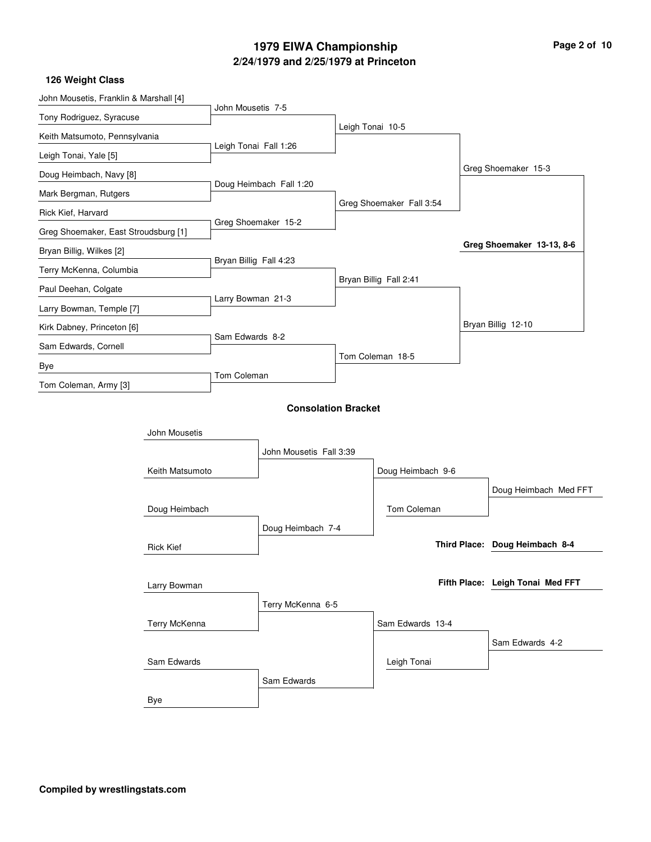| John Mousetis, Franklin & Marshall [4] |                  |                        |                            |                  |                          |                                  |  |
|----------------------------------------|------------------|------------------------|----------------------------|------------------|--------------------------|----------------------------------|--|
| Tony Rodriguez, Syracuse               |                  | John Mousetis 7-5      |                            |                  |                          |                                  |  |
| Keith Matsumoto, Pennsylvania          |                  |                        |                            | Leigh Tonai 10-5 |                          |                                  |  |
| Leigh Tonai, Yale [5]                  |                  | Leigh Tonai Fall 1:26  |                            |                  |                          |                                  |  |
| Doug Heimbach, Navy [8]                |                  |                        |                            |                  |                          | Greg Shoemaker 15-3              |  |
| Mark Bergman, Rutgers                  |                  |                        | Doug Heimbach Fall 1:20    |                  |                          |                                  |  |
| Rick Kief, Harvard                     |                  |                        |                            |                  | Greg Shoemaker Fall 3:54 |                                  |  |
| Greg Shoemaker, East Stroudsburg [1]   |                  |                        | Greg Shoemaker 15-2        |                  |                          |                                  |  |
| Bryan Billig, Wilkes [2]               |                  |                        |                            |                  |                          | Greg Shoemaker 13-13, 8-6        |  |
| Terry McKenna, Columbia                |                  | Bryan Billig Fall 4:23 |                            |                  |                          |                                  |  |
| Paul Deehan, Colgate                   |                  |                        |                            |                  | Bryan Billig Fall 2:41   |                                  |  |
| Larry Bowman, Temple [7]               |                  | Larry Bowman 21-3      |                            |                  |                          |                                  |  |
| Kirk Dabney, Princeton [6]             |                  |                        |                            |                  |                          | Bryan Billig 12-10               |  |
| Sam Edwards, Cornell                   |                  | Sam Edwards 8-2        |                            |                  |                          |                                  |  |
| Bye                                    |                  |                        |                            |                  | Tom Coleman 18-5         |                                  |  |
| Tom Coleman, Army [3]                  |                  | Tom Coleman            |                            |                  |                          |                                  |  |
|                                        |                  |                        | <b>Consolation Bracket</b> |                  |                          |                                  |  |
|                                        | John Mousetis    |                        |                            |                  |                          |                                  |  |
|                                        |                  |                        |                            |                  |                          |                                  |  |
|                                        |                  |                        | John Mousetis Fall 3:39    |                  |                          |                                  |  |
|                                        | Keith Matsumoto  |                        |                            |                  | Doug Heimbach 9-6        |                                  |  |
|                                        |                  |                        |                            |                  | Tom Coleman              | Doug Heimbach Med FFT            |  |
|                                        | Doug Heimbach    |                        |                            |                  |                          |                                  |  |
|                                        |                  |                        | Doug Heimbach 7-4          |                  |                          | Third Place: Doug Heimbach 8-4   |  |
|                                        | <b>Rick Kief</b> |                        |                            |                  |                          |                                  |  |
|                                        | Larry Bowman     |                        |                            |                  |                          | Fifth Place: Leigh Tonai Med FFT |  |
|                                        |                  |                        | Terry McKenna 6-5          |                  |                          |                                  |  |
|                                        | Terry McKenna    |                        |                            |                  | Sam Edwards 13-4         |                                  |  |
|                                        |                  |                        |                            |                  |                          | Sam Edwards 4-2                  |  |
|                                        | Sam Edwards      |                        |                            |                  | Leigh Tonai              |                                  |  |
|                                        |                  |                        | Sam Edwards                |                  |                          |                                  |  |
|                                        |                  |                        |                            |                  |                          |                                  |  |
|                                        | Bye              |                        |                            |                  |                          |                                  |  |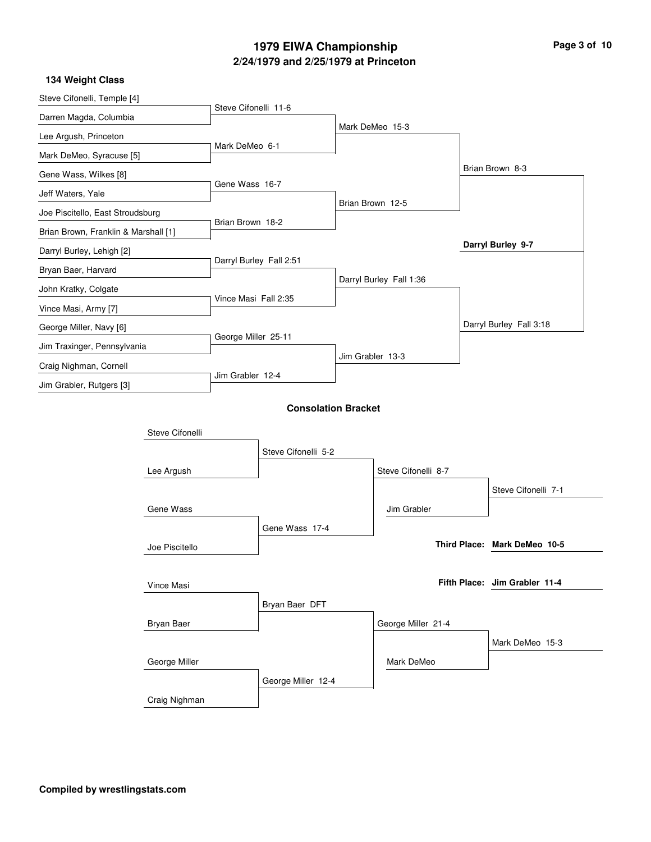| Page 3 of 10 |  |  |
|--------------|--|--|
|--------------|--|--|

#### Steve Cifonelli, Temple [4] Darren Magda, Columbia Lee Argush, Princeton Mark DeMeo, Syracuse [5] Gene Wass, Wilkes [8] Jeff Waters, Yale Joe Piscitello, East Stroudsburg Brian Brown, Franklin & Marshall [1] Darryl Burley, Lehigh [2] Bryan Baer, Harvard John Kratky, Colgate Vince Masi, Army [7] George Miller, Navy [6] Jim Traxinger, Pennsylvania Craig Nighman, Cornell Jim Grabler, Rutgers [3] Steve Cifonelli 11-6 Mark DeMeo 6-1 Gene Wass 16-7 Brian Brown 18-2 Darryl Burley Fall 2:51 Vince Masi Fall 2:35 George Miller 25-11 Jim Grabler 12-4 Mark DeMeo 15-3 Brian Brown 12-5 Darryl Burley Fall 1:36 Jim Grabler 13-3 Brian Brown 8-3 Darryl Burley Fall 3:18 **Darryl Burley 9-7 134 Weight Class Consolation Bracket** Lee Argush Joe Piscitello Bryan Baer Craig Nighman Steve Cifonelli Gene Wass Vince Masi George Miller Steve Cifonelli 5-2 Gene Wass 17-4 Bryan Baer DFT George Miller 12-4 Steve Cifonelli 8-7 George Miller 21-4 Jim Grabler Mark DeMeo Steve Cifonelli 7-1 Mark DeMeo 15-3 **Mark DeMeo 10-5 Third Place: Jim Grabler 11-4 Fifth Place:**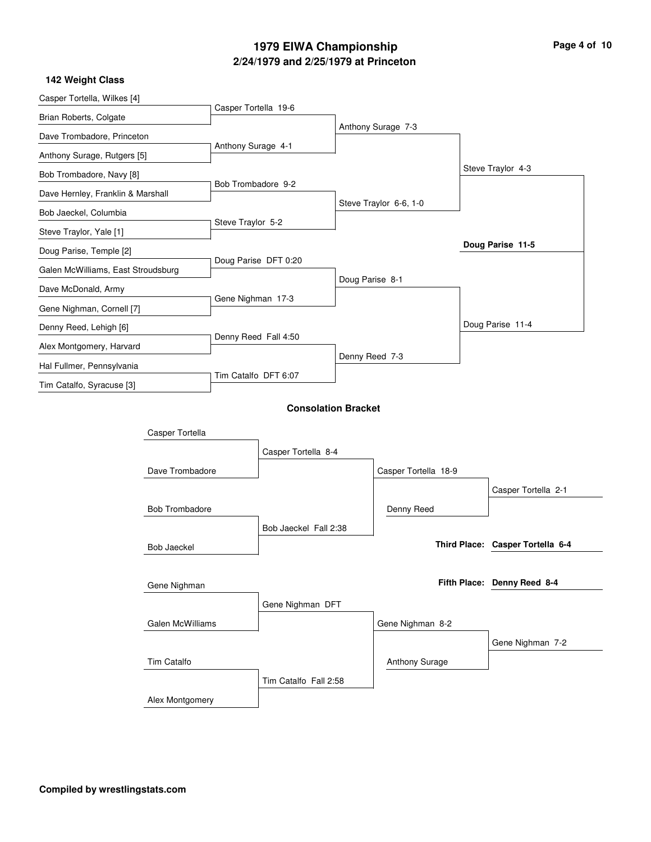| Page 4 of 10 |  |  |
|--------------|--|--|
|--------------|--|--|

| Casper Tortella, Wilkes [4]        |                       |                      |                            |                 |                        |                                  |
|------------------------------------|-----------------------|----------------------|----------------------------|-----------------|------------------------|----------------------------------|
| Brian Roberts, Colgate             |                       | Casper Tortella 19-6 |                            |                 |                        |                                  |
| Dave Trombadore, Princeton         |                       |                      |                            |                 | Anthony Surage 7-3     |                                  |
| Anthony Surage, Rutgers [5]        |                       | Anthony Surage 4-1   |                            |                 |                        |                                  |
| Bob Trombadore, Navy [8]           |                       |                      |                            |                 |                        | Steve Traylor 4-3                |
| Dave Hernley, Franklin & Marshall  |                       | Bob Trombadore 9-2   |                            |                 |                        |                                  |
| Bob Jaeckel, Columbia              |                       |                      |                            |                 | Steve Traylor 6-6, 1-0 |                                  |
| Steve Traylor, Yale [1]            |                       | Steve Traylor 5-2    |                            |                 |                        |                                  |
| Doug Parise, Temple [2]            |                       |                      |                            |                 |                        | Doug Parise 11-5                 |
| Galen McWilliams, East Stroudsburg |                       |                      | Doug Parise DFT 0:20       |                 |                        |                                  |
| Dave McDonald, Army                |                       |                      |                            | Doug Parise 8-1 |                        |                                  |
| Gene Nighman, Cornell [7]          |                       | Gene Nighman 17-3    |                            |                 |                        |                                  |
| Denny Reed, Lehigh [6]             |                       |                      |                            |                 |                        | Doug Parise 11-4                 |
| Alex Montgomery, Harvard           |                       | Denny Reed Fall 4:50 |                            |                 |                        |                                  |
| Hal Fullmer, Pennsylvania          |                       |                      |                            | Denny Reed 7-3  |                        |                                  |
| Tim Catalfo, Syracuse [3]          |                       | Tim Catalfo DFT 6:07 |                            |                 |                        |                                  |
|                                    |                       |                      | <b>Consolation Bracket</b> |                 |                        |                                  |
|                                    |                       |                      |                            |                 |                        |                                  |
|                                    | Casper Tortella       |                      |                            |                 |                        |                                  |
|                                    |                       |                      | Casper Tortella 8-4        |                 |                        |                                  |
|                                    | Dave Trombadore       |                      |                            |                 | Casper Tortella 18-9   |                                  |
|                                    |                       |                      |                            |                 |                        | Casper Tortella 2-1              |
|                                    | <b>Bob Trombadore</b> |                      |                            |                 | Denny Reed             |                                  |
|                                    |                       |                      | Bob Jaeckel Fall 2:38      |                 |                        | Third Place: Casper Tortella 6-4 |
|                                    | <b>Bob Jaeckel</b>    |                      |                            |                 |                        |                                  |
|                                    |                       |                      |                            |                 |                        | Fifth Place: Denny Reed 8-4      |
|                                    | Gene Nighman          |                      |                            |                 |                        |                                  |
|                                    |                       |                      | Gene Nighman DFT           |                 |                        |                                  |
|                                    | Galen McWilliams      |                      |                            |                 | Gene Nighman 8-2       |                                  |
|                                    |                       |                      |                            |                 |                        | Gene Nighman 7-2                 |
|                                    | Tim Catalfo           |                      |                            |                 | <b>Anthony Surage</b>  |                                  |
|                                    |                       |                      | Tim Catalfo Fall 2:58      |                 |                        |                                  |
|                                    | Alex Montgomery       |                      |                            |                 |                        |                                  |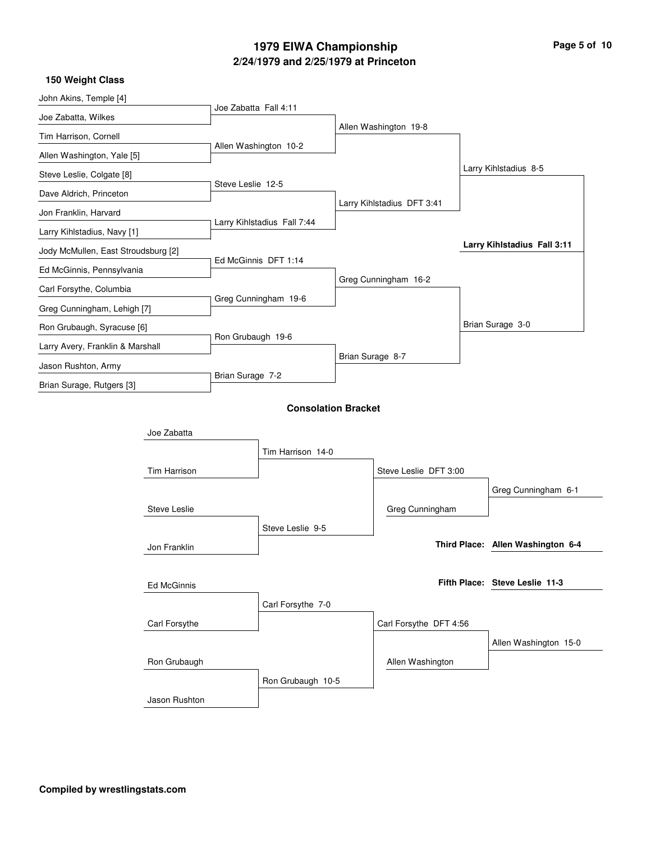| Page 5 of 10 |  |  |  |
|--------------|--|--|--|
|--------------|--|--|--|

| 150 Weight Class                    |                     |                       |                             |  |                            |  |                                   |
|-------------------------------------|---------------------|-----------------------|-----------------------------|--|----------------------------|--|-----------------------------------|
| John Akins, Temple [4]              |                     |                       |                             |  |                            |  |                                   |
| Joe Zabatta, Wilkes                 |                     | Joe Zabatta Fall 4:11 |                             |  |                            |  |                                   |
| Tim Harrison, Cornell               |                     |                       |                             |  | Allen Washington 19-8      |  |                                   |
| Allen Washington, Yale [5]          |                     |                       | Allen Washington 10-2       |  |                            |  |                                   |
| Steve Leslie, Colgate [8]           |                     |                       |                             |  |                            |  | Larry Kihlstadius 8-5             |
| Dave Aldrich, Princeton             |                     | Steve Leslie 12-5     |                             |  |                            |  |                                   |
| Jon Franklin, Harvard               |                     |                       |                             |  | Larry Kihlstadius DFT 3:41 |  |                                   |
| Larry Kihlstadius, Navy [1]         |                     |                       | Larry Kihlstadius Fall 7:44 |  |                            |  |                                   |
| Jody McMullen, East Stroudsburg [2] |                     |                       |                             |  |                            |  | Larry Kihlstadius Fall 3:11       |
| Ed McGinnis, Pennsylvania           |                     |                       | Ed McGinnis DFT 1:14        |  |                            |  |                                   |
| Carl Forsythe, Columbia             |                     |                       |                             |  | Greg Cunningham 16-2       |  |                                   |
| Greg Cunningham, Lehigh [7]         |                     |                       | Greg Cunningham 19-6        |  |                            |  |                                   |
| Ron Grubaugh, Syracuse [6]          |                     |                       |                             |  |                            |  | Brian Surage 3-0                  |
|                                     |                     | Ron Grubaugh 19-6     |                             |  |                            |  |                                   |
| Larry Avery, Franklin & Marshall    |                     |                       |                             |  | Brian Surage 8-7           |  |                                   |
| Jason Rushton, Army                 |                     | Brian Surage 7-2      |                             |  |                            |  |                                   |
| Brian Surage, Rutgers [3]           |                     |                       |                             |  |                            |  |                                   |
|                                     |                     |                       | <b>Consolation Bracket</b>  |  |                            |  |                                   |
|                                     | Joe Zabatta         |                       |                             |  |                            |  |                                   |
|                                     |                     |                       | Tim Harrison 14-0           |  |                            |  |                                   |
|                                     | Tim Harrison        |                       |                             |  | Steve Leslie DFT 3:00      |  |                                   |
|                                     |                     |                       |                             |  |                            |  | Greg Cunningham 6-1               |
|                                     | <b>Steve Leslie</b> |                       |                             |  | Greg Cunningham            |  |                                   |
|                                     |                     |                       | Steve Leslie 9-5            |  |                            |  |                                   |
|                                     | Jon Franklin        |                       |                             |  |                            |  | Third Place: Allen Washington 6-4 |
|                                     |                     |                       |                             |  |                            |  |                                   |
|                                     | Ed McGinnis         |                       |                             |  |                            |  | Fifth Place: Steve Leslie 11-3    |
|                                     |                     |                       | Carl Forsythe 7-0           |  |                            |  |                                   |
|                                     | Carl Forsythe       |                       |                             |  | Carl Forsythe DFT 4:56     |  |                                   |
|                                     |                     |                       |                             |  |                            |  |                                   |
|                                     |                     |                       |                             |  |                            |  | Allen Washington 15-0             |
|                                     | Ron Grubaugh        |                       |                             |  | Allen Washington           |  |                                   |
|                                     |                     |                       | Ron Grubaugh 10-5           |  |                            |  |                                   |
|                                     | Jason Rushton       |                       |                             |  |                            |  |                                   |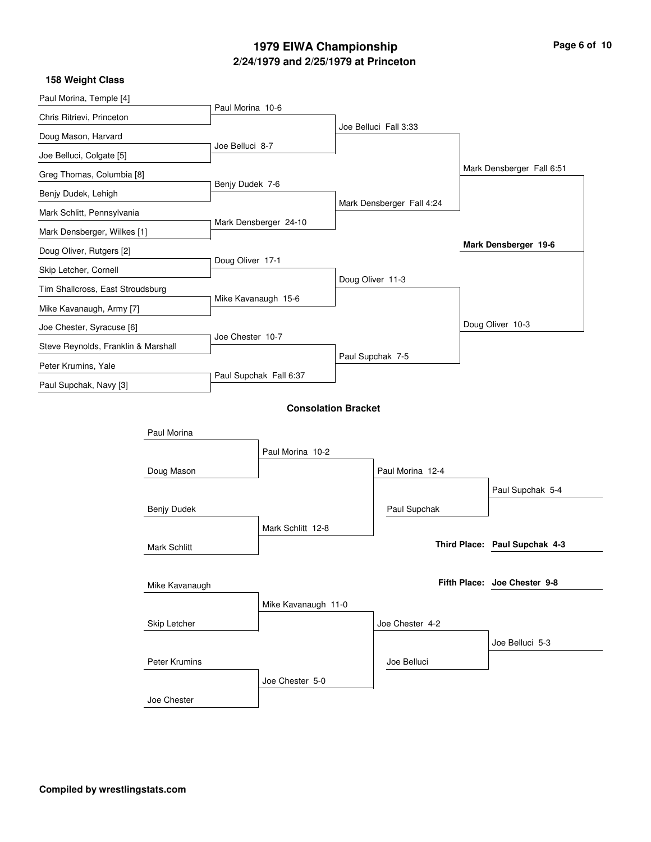| Page 6 of 10 |  |  |  |
|--------------|--|--|--|
|--------------|--|--|--|

| 158 Weight Class                    |                     |                  |                            |                           |                               |
|-------------------------------------|---------------------|------------------|----------------------------|---------------------------|-------------------------------|
| Paul Morina, Temple [4]             |                     |                  |                            |                           |                               |
| Chris Ritrievi, Princeton           |                     | Paul Morina 10-6 |                            |                           |                               |
| Doug Mason, Harvard                 |                     |                  |                            | Joe Belluci Fall 3:33     |                               |
| Joe Belluci, Colgate [5]            |                     | Joe Belluci 8-7  |                            |                           |                               |
| Greg Thomas, Columbia [8]           |                     |                  |                            |                           | Mark Densberger Fall 6:51     |
| Benjy Dudek, Lehigh                 |                     | Benjy Dudek 7-6  |                            |                           |                               |
| Mark Schlitt, Pennsylvania          |                     |                  |                            | Mark Densberger Fall 4:24 |                               |
| Mark Densberger, Wilkes [1]         |                     |                  | Mark Densberger 24-10      |                           |                               |
| Doug Oliver, Rutgers [2]            |                     |                  |                            |                           | Mark Densberger 19-6          |
| Skip Letcher, Cornell               |                     | Doug Oliver 17-1 |                            |                           |                               |
| Tim Shallcross, East Stroudsburg    |                     |                  |                            | Doug Oliver 11-3          |                               |
| Mike Kavanaugh, Army [7]            |                     |                  | Mike Kavanaugh 15-6        |                           |                               |
| Joe Chester, Syracuse [6]           |                     |                  |                            |                           | Doug Oliver 10-3              |
| Steve Reynolds, Franklin & Marshall |                     | Joe Chester 10-7 |                            |                           |                               |
| Peter Krumins, Yale                 |                     |                  |                            | Paul Supchak 7-5          |                               |
| Paul Supchak, Navy [3]              |                     |                  | Paul Supchak Fall 6:37     |                           |                               |
|                                     |                     |                  | <b>Consolation Bracket</b> |                           |                               |
|                                     |                     |                  |                            |                           |                               |
|                                     | Paul Morina         |                  |                            |                           |                               |
|                                     |                     |                  | Paul Morina 10-2           |                           |                               |
|                                     | Doug Mason          |                  |                            | Paul Morina 12-4          |                               |
|                                     |                     |                  |                            |                           | Paul Supchak 5-4              |
|                                     | Benjy Dudek         |                  |                            | Paul Supchak              |                               |
|                                     |                     |                  | Mark Schlitt 12-8          |                           |                               |
|                                     | <b>Mark Schlitt</b> |                  |                            |                           | Third Place: Paul Supchak 4-3 |
|                                     |                     |                  |                            |                           |                               |
|                                     | Mike Kavanaugh      |                  |                            |                           | Fifth Place: Joe Chester 9-8  |
|                                     |                     |                  | Mike Kavanaugh 11-0        |                           |                               |
|                                     | Skip Letcher        |                  |                            | Joe Chester 4-2           |                               |
|                                     |                     |                  |                            |                           | Joe Belluci 5-3               |
|                                     | Peter Krumins       |                  |                            | Joe Belluci               |                               |
|                                     |                     |                  | Joe Chester 5-0            |                           |                               |
|                                     | Joe Chester         |                  |                            |                           |                               |
|                                     |                     |                  |                            |                           |                               |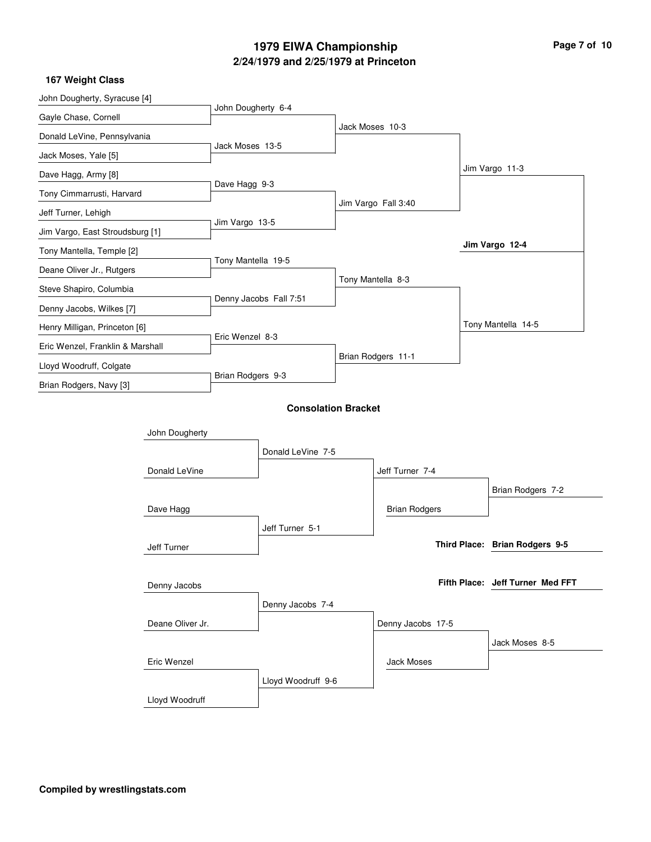| John Dougherty, Syracuse [4]     |                  |                        |                            |                 |                      |                                  |  |
|----------------------------------|------------------|------------------------|----------------------------|-----------------|----------------------|----------------------------------|--|
| Gayle Chase, Cornell             |                  | John Dougherty 6-4     |                            |                 |                      |                                  |  |
| Donald LeVine, Pennsylvania      |                  |                        |                            | Jack Moses 10-3 |                      |                                  |  |
| Jack Moses, Yale [5]             |                  | Jack Moses 13-5        |                            |                 |                      |                                  |  |
| Dave Hagg, Army [8]              |                  |                        |                            |                 |                      | Jim Vargo 11-3                   |  |
| Tony Cimmarrusti, Harvard        |                  | Dave Hagg 9-3          |                            |                 |                      |                                  |  |
| Jeff Turner, Lehigh              |                  |                        |                            |                 | Jim Vargo Fall 3:40  |                                  |  |
| Jim Vargo, East Stroudsburg [1]  |                  | Jim Vargo 13-5         |                            |                 |                      |                                  |  |
| Tony Mantella, Temple [2]        |                  |                        |                            |                 |                      | Jim Vargo 12-4                   |  |
| Deane Oliver Jr., Rutgers        |                  | Tony Mantella 19-5     |                            |                 |                      |                                  |  |
| Steve Shapiro, Columbia          |                  |                        |                            |                 | Tony Mantella 8-3    |                                  |  |
| Denny Jacobs, Wilkes [7]         |                  | Denny Jacobs Fall 7:51 |                            |                 |                      |                                  |  |
| Henry Milligan, Princeton [6]    |                  |                        |                            |                 |                      | Tony Mantella 14-5               |  |
| Eric Wenzel, Franklin & Marshall |                  | Eric Wenzel 8-3        |                            |                 |                      |                                  |  |
| Lloyd Woodruff, Colgate          |                  |                        |                            |                 | Brian Rodgers 11-1   |                                  |  |
| Brian Rodgers, Navy [3]          |                  | Brian Rodgers 9-3      |                            |                 |                      |                                  |  |
|                                  |                  |                        | <b>Consolation Bracket</b> |                 |                      |                                  |  |
|                                  | John Dougherty   |                        |                            |                 |                      |                                  |  |
|                                  |                  |                        | Donald LeVine 7-5          |                 |                      |                                  |  |
|                                  | Donald LeVine    |                        |                            |                 | Jeff Turner 7-4      |                                  |  |
|                                  |                  |                        |                            |                 |                      | Brian Rodgers 7-2                |  |
| Dave Hagg                        |                  |                        |                            |                 | <b>Brian Rodgers</b> |                                  |  |
|                                  |                  |                        | Jeff Turner 5-1            |                 |                      |                                  |  |
| Jeff Turner                      |                  |                        |                            |                 |                      | Third Place: Brian Rodgers 9-5   |  |
|                                  |                  |                        |                            |                 |                      |                                  |  |
|                                  | Denny Jacobs     |                        |                            |                 |                      | Fifth Place: Jeff Turner Med FFT |  |
|                                  |                  |                        | Denny Jacobs 7-4           |                 |                      |                                  |  |
|                                  | Deane Oliver Jr. |                        |                            |                 | Denny Jacobs 17-5    |                                  |  |
|                                  |                  |                        |                            |                 |                      | Jack Moses 8-5                   |  |
|                                  | Eric Wenzel      |                        |                            |                 | <b>Jack Moses</b>    |                                  |  |
|                                  |                  |                        | Lloyd Woodruff 9-6         |                 |                      |                                  |  |
|                                  | Lloyd Woodruff   |                        |                            |                 |                      |                                  |  |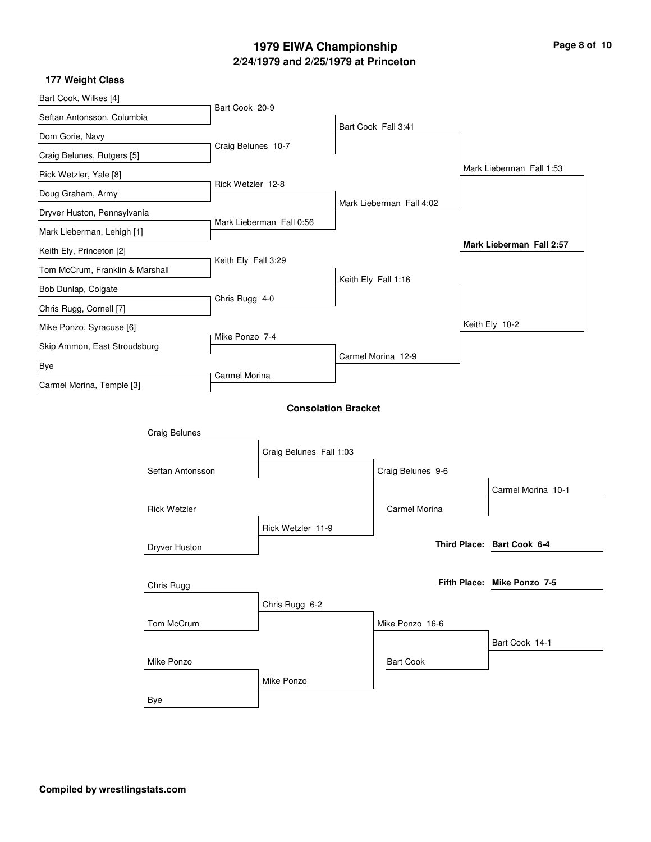| Page 8 of 10 |  |  |  |
|--------------|--|--|--|
|--------------|--|--|--|

| Bart Cook, Wilkes [4]           |                      |                            |  |                          |  |                             |
|---------------------------------|----------------------|----------------------------|--|--------------------------|--|-----------------------------|
| Seftan Antonsson, Columbia      | Bart Cook 20-9       |                            |  |                          |  |                             |
| Dom Gorie, Navy                 |                      |                            |  | Bart Cook Fall 3:41      |  |                             |
| Craig Belunes, Rutgers [5]      | Craig Belunes 10-7   |                            |  |                          |  |                             |
| Rick Wetzler, Yale [8]          |                      |                            |  |                          |  | Mark Lieberman Fall 1:53    |
| Doug Graham, Army               | Rick Wetzler 12-8    |                            |  |                          |  |                             |
| Dryver Huston, Pennsylvania     |                      |                            |  | Mark Lieberman Fall 4:02 |  |                             |
| Mark Lieberman, Lehigh [1]      |                      | Mark Lieberman Fall 0:56   |  |                          |  |                             |
| Keith Ely, Princeton [2]        |                      |                            |  |                          |  | Mark Lieberman Fall 2:57    |
| Tom McCrum, Franklin & Marshall | Keith Ely Fall 3:29  |                            |  |                          |  |                             |
| Bob Dunlap, Colgate             |                      |                            |  | Keith Ely Fall 1:16      |  |                             |
| Chris Rugg, Cornell [7]         | Chris Rugg 4-0       |                            |  |                          |  |                             |
| Mike Ponzo, Syracuse [6]        |                      |                            |  |                          |  | Keith Ely 10-2              |
| Skip Ammon, East Stroudsburg    | Mike Ponzo 7-4       |                            |  |                          |  |                             |
| Bye                             |                      |                            |  | Carmel Morina 12-9       |  |                             |
| Carmel Morina, Temple [3]       | <b>Carmel Morina</b> |                            |  |                          |  |                             |
|                                 |                      | <b>Consolation Bracket</b> |  |                          |  |                             |
|                                 |                      |                            |  |                          |  |                             |
| <b>Craig Belunes</b>            |                      |                            |  |                          |  |                             |
|                                 |                      | Craig Belunes Fall 1:03    |  |                          |  |                             |
| Seftan Antonsson                |                      |                            |  | Craig Belunes 9-6        |  |                             |
|                                 |                      |                            |  |                          |  | Carmel Morina 10-1          |
| <b>Rick Wetzler</b>             | Rick Wetzler 11-9    |                            |  | <b>Carmel Morina</b>     |  |                             |
|                                 |                      |                            |  |                          |  |                             |
| Dryver Huston                   |                      |                            |  |                          |  | Third Place: Bart Cook 6-4  |
|                                 |                      |                            |  |                          |  |                             |
| Chris Rugg                      |                      |                            |  |                          |  | Fifth Place: Mike Ponzo 7-5 |
|                                 |                      | Chris Rugg 6-2             |  |                          |  |                             |
| Tom McCrum                      |                      |                            |  | Mike Ponzo 16-6          |  |                             |
|                                 |                      |                            |  |                          |  | Bart Cook 14-1              |
| Mike Ponzo                      |                      |                            |  | <b>Bart Cook</b>         |  |                             |
|                                 |                      | Mike Ponzo                 |  |                          |  |                             |
| Bye                             |                      |                            |  |                          |  |                             |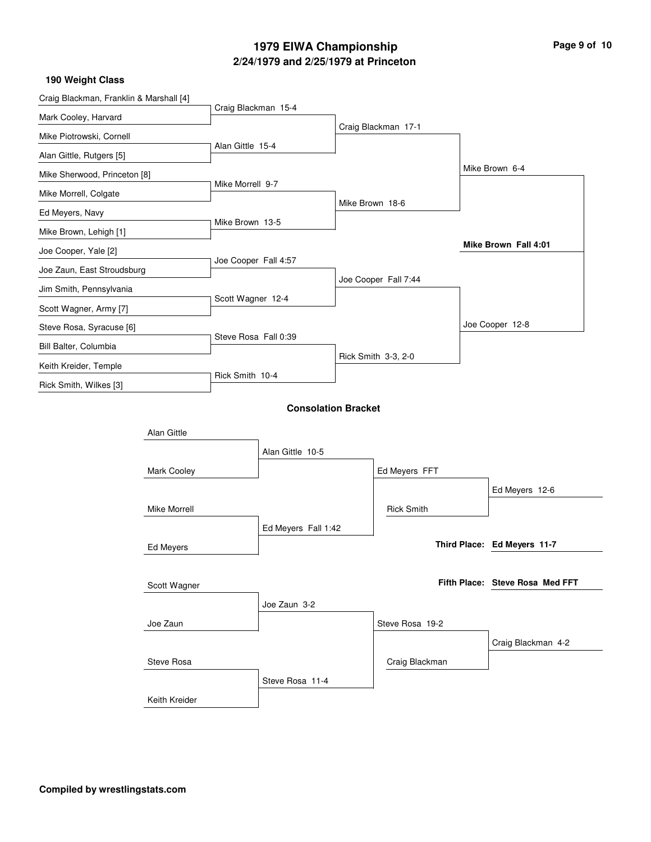| Craig Blackman, Franklin & Marshall [4] |               |                      |                            |                 |                      |                                 |
|-----------------------------------------|---------------|----------------------|----------------------------|-----------------|----------------------|---------------------------------|
| Mark Cooley, Harvard                    |               | Craig Blackman 15-4  |                            |                 |                      |                                 |
| Mike Piotrowski, Cornell                |               |                      |                            |                 | Craig Blackman 17-1  |                                 |
| Alan Gittle, Rutgers [5]                |               | Alan Gittle 15-4     |                            |                 |                      |                                 |
| Mike Sherwood, Princeton [8]            |               |                      |                            |                 |                      | Mike Brown 6-4                  |
| Mike Morrell, Colgate                   |               | Mike Morrell 9-7     |                            |                 |                      |                                 |
| Ed Meyers, Navy                         |               |                      |                            | Mike Brown 18-6 |                      |                                 |
| Mike Brown, Lehigh [1]                  |               | Mike Brown 13-5      |                            |                 |                      |                                 |
| Joe Cooper, Yale [2]                    |               |                      |                            |                 |                      | Mike Brown Fall 4:01            |
| Joe Zaun, East Stroudsburg              |               | Joe Cooper Fall 4:57 |                            |                 |                      |                                 |
| Jim Smith, Pennsylvania                 |               |                      |                            |                 | Joe Cooper Fall 7:44 |                                 |
| Scott Wagner, Army [7]                  |               | Scott Wagner 12-4    |                            |                 |                      |                                 |
| Steve Rosa, Syracuse [6]                |               |                      |                            |                 |                      | Joe Cooper 12-8                 |
| Bill Balter, Columbia                   |               | Steve Rosa Fall 0:39 |                            |                 |                      |                                 |
| Keith Kreider, Temple                   |               |                      |                            |                 | Rick Smith 3-3, 2-0  |                                 |
| Rick Smith, Wilkes [3]                  |               | Rick Smith 10-4      |                            |                 |                      |                                 |
|                                         |               |                      | <b>Consolation Bracket</b> |                 |                      |                                 |
|                                         |               |                      |                            |                 |                      |                                 |
|                                         | Alan Gittle   |                      |                            |                 |                      |                                 |
|                                         |               |                      | Alan Gittle 10-5           |                 |                      |                                 |
|                                         | Mark Cooley   |                      |                            |                 | Ed Meyers FFT        |                                 |
|                                         |               |                      |                            |                 |                      | Ed Meyers 12-6                  |
|                                         | Mike Morrell  |                      |                            |                 | <b>Rick Smith</b>    |                                 |
|                                         |               |                      | Ed Meyers Fall 1:42        |                 |                      |                                 |
|                                         | Ed Meyers     |                      |                            |                 |                      | Third Place: Ed Meyers 11-7     |
|                                         |               |                      |                            |                 |                      |                                 |
|                                         | Scott Wagner  |                      |                            |                 |                      | Fifth Place: Steve Rosa Med FFT |
|                                         |               |                      | Joe Zaun 3-2               |                 |                      |                                 |
|                                         | Joe Zaun      |                      |                            |                 | Steve Rosa 19-2      |                                 |
|                                         |               |                      |                            |                 |                      | Craig Blackman 4-2              |
|                                         | Steve Rosa    |                      |                            |                 | Craig Blackman       |                                 |
|                                         |               |                      | Steve Rosa 11-4            |                 |                      |                                 |
|                                         | Keith Kreider |                      |                            |                 |                      |                                 |